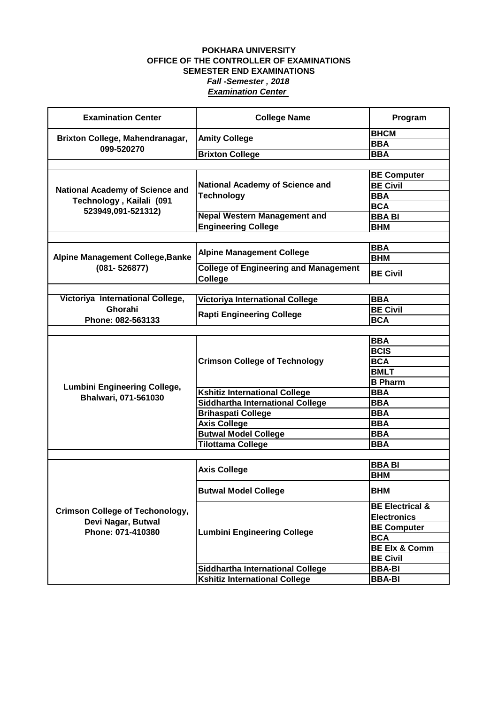| <b>Examination Center</b>                                                                | <b>College Name</b>                                         | Program                    |
|------------------------------------------------------------------------------------------|-------------------------------------------------------------|----------------------------|
| Brixton College, Mahendranagar,<br>099-520270                                            | <b>Amity College</b>                                        | <b>BHCM</b>                |
|                                                                                          |                                                             | <b>BBA</b>                 |
|                                                                                          | <b>Brixton College</b>                                      | <b>BBA</b>                 |
|                                                                                          |                                                             |                            |
| <b>National Academy of Science and</b><br>Technology, Kailali (091<br>523949,091-521312) |                                                             | <b>BE Computer</b>         |
|                                                                                          | <b>National Academy of Science and</b><br><b>Technology</b> | <b>BE Civil</b>            |
|                                                                                          |                                                             | <b>BBA</b>                 |
|                                                                                          |                                                             | <b>BCA</b>                 |
|                                                                                          | <b>Nepal Western Management and</b>                         | <b>BBA BI</b>              |
|                                                                                          | <b>Engineering College</b>                                  | <b>BHM</b>                 |
|                                                                                          |                                                             |                            |
|                                                                                          | <b>Alpine Management College</b>                            | <b>BBA</b>                 |
| <b>Alpine Management College, Banke</b>                                                  |                                                             | <b>BHM</b>                 |
| $(081 - 526877)$                                                                         | <b>College of Engineering and Management</b><br>College     | <b>BE Civil</b>            |
|                                                                                          |                                                             |                            |
| Victoriya International College,                                                         | <b>Victoriya International College</b>                      | <b>BBA</b>                 |
| Ghorahi                                                                                  | <b>Rapti Engineering College</b>                            | <b>BE Civil</b>            |
| Phone: 082-563133                                                                        |                                                             | <b>BCA</b>                 |
|                                                                                          |                                                             |                            |
|                                                                                          |                                                             | <b>BBA</b>                 |
|                                                                                          | <b>Crimson College of Technology</b>                        | <b>BCIS</b>                |
|                                                                                          |                                                             | <b>BCA</b>                 |
|                                                                                          |                                                             | <b>BMLT</b>                |
| <b>Lumbini Engineering College,</b>                                                      |                                                             | <b>B</b> Pharm             |
| Bhalwari, 071-561030                                                                     | <b>Kshitiz International College</b>                        | <b>BBA</b>                 |
|                                                                                          | Siddhartha International College                            | <b>BBA</b>                 |
|                                                                                          | <b>Brihaspati College</b>                                   | <b>BBA</b>                 |
|                                                                                          | <b>Axis College</b>                                         | <b>BBA</b>                 |
|                                                                                          | <b>Butwal Model College</b>                                 | <b>BBA</b>                 |
|                                                                                          | <b>Tilottama College</b>                                    | <b>BBA</b>                 |
|                                                                                          |                                                             |                            |
|                                                                                          | <b>Axis College</b>                                         | <b>BBA BI</b>              |
|                                                                                          |                                                             | <b>BHM</b>                 |
|                                                                                          | <b>Butwal Model College</b>                                 | <b>BHM</b>                 |
|                                                                                          |                                                             | <b>BE Electrical &amp;</b> |
| <b>Crimson College of Techonology,</b><br>Devi Nagar, Butwal<br>Phone: 071-410380        | <b>Lumbini Engineering College</b>                          | <b>Electronics</b>         |
|                                                                                          |                                                             | <b>BE Computer</b>         |
|                                                                                          |                                                             | <b>BCA</b>                 |
|                                                                                          |                                                             | <b>BE Elx &amp; Comm</b>   |
|                                                                                          |                                                             | <b>BE Civil</b>            |
|                                                                                          | <b>Siddhartha International College</b>                     | <b>BBA-BI</b>              |
|                                                                                          | <b>Kshitiz International College</b>                        | <b>BBA-BI</b>              |
|                                                                                          |                                                             |                            |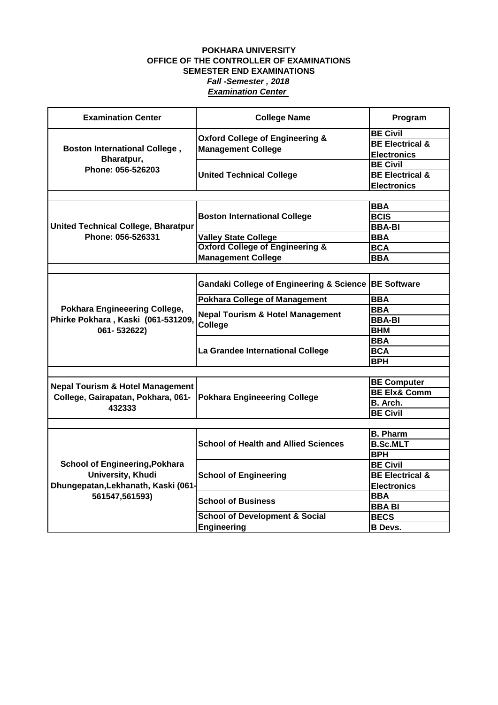| <b>Examination Center</b>                                                         | <b>College Name</b>                                                     | Program                    |
|-----------------------------------------------------------------------------------|-------------------------------------------------------------------------|----------------------------|
| <b>Boston International College,</b><br>Bharatpur,<br>Phone: 056-526203           | <b>Oxford College of Engineering &amp;</b><br><b>Management College</b> | <b>BE Civil</b>            |
|                                                                                   |                                                                         | <b>BE Electrical &amp;</b> |
|                                                                                   |                                                                         | <b>Electronics</b>         |
|                                                                                   |                                                                         | <b>BE Civil</b>            |
|                                                                                   | <b>United Technical College</b>                                         | <b>BE Electrical &amp;</b> |
|                                                                                   |                                                                         | <b>Electronics</b>         |
|                                                                                   |                                                                         |                            |
|                                                                                   | <b>Boston International College</b>                                     | BBA                        |
|                                                                                   |                                                                         | <b>BCIS</b>                |
| <b>United Technical College, Bharatpur</b>                                        |                                                                         | <b>BBA-BI</b>              |
| Phone: 056-526331                                                                 | <b>Valley State College</b>                                             | <b>BBA</b>                 |
|                                                                                   | <b>Oxford College of Engineering &amp;</b>                              | <b>BCA</b>                 |
|                                                                                   | <b>Management College</b>                                               | <b>BBA</b>                 |
|                                                                                   |                                                                         |                            |
|                                                                                   | Gandaki College of Engineering & Science BE Software                    |                            |
|                                                                                   | <b>Pokhara College of Management</b>                                    | <b>BBA</b>                 |
| <b>Pokhara Engineeering College,</b>                                              | <b>Nepal Tourism &amp; Hotel Management</b><br>College                  | BBA                        |
| Phirke Pokhara, Kaski (061-531209,                                                |                                                                         | <b>BBA-BI</b>              |
| 061-532622)                                                                       |                                                                         | <b>BHM</b>                 |
|                                                                                   |                                                                         | <b>BBA</b>                 |
|                                                                                   | La Grandee International College                                        | <b>BCA</b>                 |
|                                                                                   |                                                                         | <b>BPH</b>                 |
|                                                                                   |                                                                         |                            |
| <b>Nepal Tourism &amp; Hotel Management</b>                                       | <b>Pokhara Engineeering College</b>                                     | <b>BE Computer</b>         |
| College, Gairapatan, Pokhara, 061-                                                |                                                                         | <b>BE Elx&amp; Comm</b>    |
| 432333                                                                            |                                                                         | <b>B.</b> Arch.            |
|                                                                                   |                                                                         | <b>BE Civil</b>            |
|                                                                                   |                                                                         |                            |
|                                                                                   | <b>School of Health and Allied Sciences</b>                             | <b>B. Pharm</b>            |
|                                                                                   |                                                                         | <b>B.Sc.MLT</b>            |
|                                                                                   |                                                                         | <b>BPH</b>                 |
| <b>School of Engineering, Pokhara</b>                                             | <b>School of Engineering</b>                                            | <b>BE Civil</b>            |
| <b>University, Khudi</b><br>Dhungepatan, Lekhanath, Kaski (061-<br>561547,561593) |                                                                         | <b>BE Electrical &amp;</b> |
|                                                                                   |                                                                         | <b>Electronics</b>         |
|                                                                                   | <b>School of Business</b>                                               | <b>BBA</b>                 |
|                                                                                   |                                                                         | <b>BBA BI</b>              |
|                                                                                   | <b>School of Development &amp; Social</b>                               | <b>BECS</b>                |
|                                                                                   | Engineering                                                             | <b>B</b> Devs.             |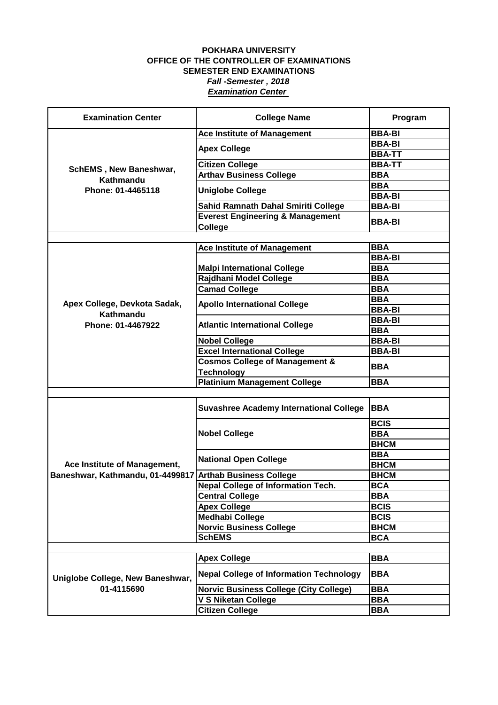| <b>Examination Center</b>                                        | <b>College Name</b>                                                   | Program                  |
|------------------------------------------------------------------|-----------------------------------------------------------------------|--------------------------|
| <b>SchEMS, New Baneshwar,</b><br>Kathmandu<br>Phone: 01-4465118  | <b>Ace Institute of Management</b>                                    | <b>BBA-BI</b>            |
|                                                                  | <b>Apex College</b>                                                   | <b>BBA-BI</b>            |
|                                                                  |                                                                       | <b>BBA-TT</b>            |
|                                                                  | <b>Citizen College</b>                                                | <b>BBA-TT</b>            |
|                                                                  | <b>Arthav Business College</b>                                        | <b>BBA</b>               |
|                                                                  | <b>Uniglobe College</b>                                               | <b>BBA</b>               |
|                                                                  |                                                                       | <b>BBA-BI</b>            |
|                                                                  | Sahid Ramnath Dahal Smiriti College                                   | <b>BBA-BI</b>            |
|                                                                  | <b>Everest Engineering &amp; Management</b><br>College                | <b>BBA-BI</b>            |
|                                                                  |                                                                       |                          |
|                                                                  | <b>Ace Institute of Management</b>                                    | <b>BBA</b>               |
|                                                                  |                                                                       | <b>BBA-BI</b>            |
|                                                                  | <b>Malpi International College</b>                                    | <b>BBA</b>               |
|                                                                  | Rajdhani Model College                                                | <b>BBA</b>               |
|                                                                  | <b>Camad College</b>                                                  | <b>BBA</b>               |
| Apex College, Devkota Sadak,                                     | <b>Apollo International College</b>                                   | <b>BBA</b>               |
| Kathmandu                                                        |                                                                       | <b>BBA-BI</b>            |
| Phone: 01-4467922                                                | <b>Atlantic International College</b>                                 | <b>BBA-BI</b>            |
|                                                                  |                                                                       | <b>BBA</b>               |
|                                                                  | <b>Nobel College</b>                                                  | <b>BBA-BI</b>            |
|                                                                  | <b>Excel International College</b>                                    | <b>BBA-BI</b>            |
|                                                                  | <b>Cosmos College of Management &amp;</b>                             | <b>BBA</b>               |
|                                                                  | <b>Technology</b>                                                     |                          |
|                                                                  | <b>Platinium Management College</b>                                   | <b>BBA</b>               |
|                                                                  |                                                                       |                          |
|                                                                  | <b>Suvashree Academy International College</b>                        | <b>BBA</b>               |
|                                                                  |                                                                       | <b>BCIS</b>              |
|                                                                  | <b>Nobel College</b>                                                  | <b>BBA</b>               |
| Ace Institute of Management,<br>Baneshwar, Kathmandu, 01-4499817 |                                                                       | <b>BHCM</b>              |
|                                                                  | <b>National Open College</b>                                          | <b>BBA</b>               |
|                                                                  |                                                                       | <b>BHCM</b>              |
|                                                                  | <b>Arthab Business College</b>                                        | <b>BHCM</b>              |
|                                                                  | <b>Nepal College of Information Tech.</b>                             | <b>BCA</b>               |
|                                                                  | <b>Central College</b>                                                | <b>BBA</b>               |
|                                                                  | <b>Apex College</b>                                                   | <b>BCIS</b>              |
|                                                                  | <b>Medhabi College</b>                                                | <b>BCIS</b>              |
|                                                                  | <b>Norvic Business College</b>                                        | <b>BHCM</b>              |
|                                                                  | <b>SchEMS</b>                                                         | <b>BCA</b>               |
|                                                                  |                                                                       |                          |
| Uniglobe College, New Baneshwar,<br>01-4115690                   | <b>Apex College</b><br><b>Nepal College of Information Technology</b> | <b>BBA</b><br><b>BBA</b> |
|                                                                  | <b>Norvic Business College (City College)</b>                         | <b>BBA</b>               |
|                                                                  | V S Niketan College                                                   | <b>BBA</b>               |
|                                                                  | <b>Citizen College</b>                                                | <b>BBA</b>               |
|                                                                  |                                                                       |                          |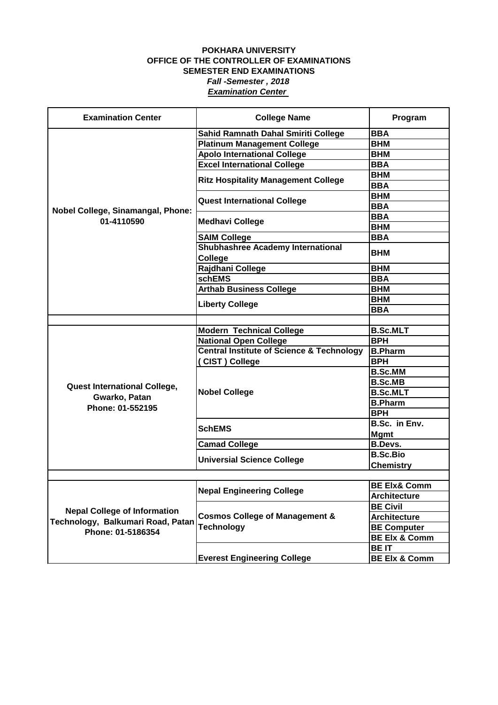| <b>Examination Center</b>                                                                     | <b>College Name</b>                                            | Program                  |
|-----------------------------------------------------------------------------------------------|----------------------------------------------------------------|--------------------------|
|                                                                                               | <b>Sahid Ramnath Dahal Smiriti College</b>                     | <b>BBA</b>               |
|                                                                                               | <b>Platinum Management College</b>                             | <b>BHM</b>               |
|                                                                                               | <b>Apolo International College</b>                             | <b>BHM</b>               |
|                                                                                               | <b>Excel International College</b>                             | <b>BBA</b>               |
|                                                                                               |                                                                | <b>BHM</b>               |
|                                                                                               | <b>Ritz Hospitality Management College</b>                     | <b>BBA</b>               |
|                                                                                               |                                                                | <b>BHM</b>               |
|                                                                                               | <b>Quest International College</b>                             | <b>BBA</b>               |
| Nobel College, Sinamangal, Phone:                                                             |                                                                | <b>BBA</b>               |
| 01-4110590                                                                                    | <b>Medhavi College</b>                                         | <b>BHM</b>               |
|                                                                                               | <b>SAIM College</b>                                            | <b>BBA</b>               |
|                                                                                               | <b>Shubhashree Academy International</b><br>College            | <b>BHM</b>               |
|                                                                                               | Rajdhani College                                               | <b>BHM</b>               |
|                                                                                               | <b>schEMS</b>                                                  | <b>BBA</b>               |
|                                                                                               | <b>Arthab Business College</b>                                 | <b>BHM</b>               |
|                                                                                               |                                                                | <b>BHM</b>               |
|                                                                                               | <b>Liberty College</b>                                         | <b>BBA</b>               |
|                                                                                               |                                                                |                          |
|                                                                                               | <b>Modern Technical College</b>                                | <b>B.Sc.MLT</b>          |
|                                                                                               | <b>National Open College</b>                                   | <b>BPH</b>               |
|                                                                                               | <b>Central Institute of Science &amp; Technology</b>           | <b>B.Pharm</b>           |
|                                                                                               | (CIST) College                                                 | <b>BPH</b>               |
|                                                                                               | <b>Nobel College</b>                                           | <b>B.Sc.MM</b>           |
|                                                                                               |                                                                | <b>B.Sc.MB</b>           |
| <b>Quest International College,</b>                                                           |                                                                | <b>B.Sc.MLT</b>          |
| Gwarko, Patan                                                                                 |                                                                | <b>B.Pharm</b>           |
| Phone: 01-552195                                                                              |                                                                | <b>BPH</b>               |
|                                                                                               |                                                                | B.Sc. in Env.            |
|                                                                                               | <b>SchEMS</b>                                                  | <b>Mgmt</b>              |
|                                                                                               | <b>Camad College</b>                                           | <b>B.Devs.</b>           |
|                                                                                               | <b>Universial Science College</b>                              | <b>B.Sc.Bio</b>          |
|                                                                                               |                                                                | <b>Chemistry</b>         |
|                                                                                               |                                                                |                          |
|                                                                                               | <b>Nepal Engineering College</b>                               | <b>BE Elx&amp; Comm</b>  |
|                                                                                               |                                                                | <b>Architecture</b>      |
| <b>Nepal College of Information</b><br>Technology, Balkumari Road, Patan<br>Phone: 01-5186354 | <b>Cosmos College of Management &amp;</b><br><b>Technology</b> | <b>BE Civil</b>          |
|                                                                                               |                                                                | <b>Architecture</b>      |
|                                                                                               |                                                                | <b>BE Computer</b>       |
|                                                                                               |                                                                | <b>BE Elx &amp; Comm</b> |
|                                                                                               |                                                                | <b>BEIT</b>              |
|                                                                                               | <b>Everest Engineering College</b>                             | <b>BE Elx &amp; Comm</b> |
|                                                                                               |                                                                |                          |